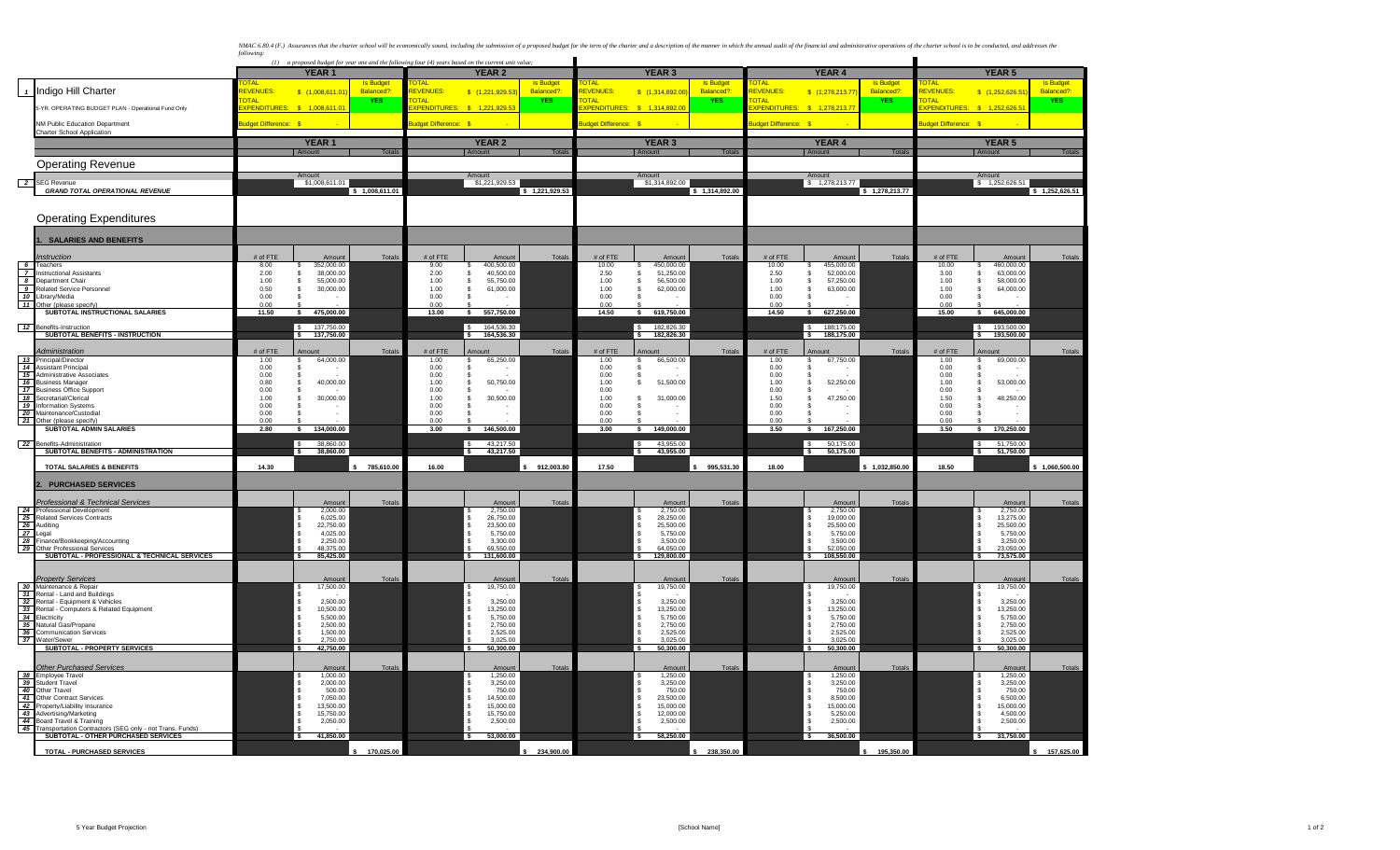NMAC 6.83.4 (F.) Assurances that the charter school will be economically sound, including the submission of a proposed budget for the term of the charter and a description of the manuar in which the annual audit of the fin

|                            |                                                                 | $(1)$ a proposed budget for year one and the following four (4) years based on the current unit value; |                                 |                  |                            |                              |                |                                   |                                       |                  |                                   |                               |                  |                             |                                 |                 |
|----------------------------|-----------------------------------------------------------------|--------------------------------------------------------------------------------------------------------|---------------------------------|------------------|----------------------------|------------------------------|----------------|-----------------------------------|---------------------------------------|------------------|-----------------------------------|-------------------------------|------------------|-----------------------------|---------------------------------|-----------------|
|                            |                                                                 |                                                                                                        | YEAR <sub>1</sub>               |                  |                            | <b>YEAR 2</b>                |                |                                   | <b>YEAR 3</b>                         |                  |                                   | <b>YEAR 4</b>                 |                  |                             | <b>YEAR 5</b>                   |                 |
|                            |                                                                 |                                                                                                        |                                 | <b>Is Budge</b>  | ומדר                       |                              | Is Budge       | <b>DTAI</b>                       |                                       | <b>Is Budge</b>  | <b>TAI</b>                        |                               | <b>Is Budge</b>  | TA                          |                                 | <b>Is Budge</b> |
| $\overline{1}$             | Indigo Hill Charter                                             | <b>EVENUES</b>                                                                                         | \$(1,008,611.01                 | Balanced?        | <b>EVENUES</b>             | \$ (1,221,929.53             | Balanced?      | <b>EVENUES:</b>                   | \$ (1,314,892.00                      | Balanced?        | <b>EVENUES</b>                    | \$(1,278,213.77)              | Balanced?        | <b>EVENUES</b>              | \$(1,252,626.5)                 | Balanced?       |
|                            | 5-YR. OPERATING BUDGET PLAN - Operational Fund Only             | <b>DTAL</b><br>PENDITURES:                                                                             | \$1,008,611.0                   | <b>YES</b>       | <b>OTAL</b><br>PENDITURES: | \$1,221,929.5                | <b>YES</b>     | <b>OTAL</b><br><b>PENDITURES:</b> | \$1,314,892.0                         | <b>YES</b>       | <b>OTAL</b><br><b>PENDITURES:</b> | \$1,278,213.7                 | <b>YES</b>       | <b>OTAL</b><br>(PENDITURES: | 1,252,626.5                     | YES.            |
|                            |                                                                 |                                                                                                        |                                 |                  |                            |                              |                |                                   |                                       |                  |                                   |                               |                  |                             |                                 |                 |
|                            | NM Public Education Department                                  | dget Difference: \$                                                                                    |                                 |                  | udget Difference: s        |                              |                | udget Difference: \$              |                                       |                  | udget Difference: \$              |                               |                  | udget Difference: S         |                                 |                 |
|                            | <b>Charter School Application</b>                               |                                                                                                        |                                 |                  |                            |                              |                |                                   |                                       |                  |                                   |                               |                  |                             |                                 |                 |
|                            |                                                                 |                                                                                                        | YEAR <sub>1</sub>               |                  |                            | <b>YEAR 2</b>                |                |                                   | <b>YEAR 3</b>                         |                  |                                   | YEAR 4                        |                  |                             | <b>YEAR 5</b>                   |                 |
|                            |                                                                 |                                                                                                        |                                 | Totals           |                            |                              | Totals         |                                   |                                       | Total            |                                   |                               | Total            |                             | Amou                            |                 |
|                            | <b>Operating Revenue</b>                                        |                                                                                                        |                                 |                  |                            |                              |                |                                   |                                       |                  |                                   |                               |                  |                             |                                 |                 |
|                            |                                                                 |                                                                                                        |                                 |                  |                            |                              |                |                                   |                                       |                  |                                   |                               |                  |                             |                                 |                 |
| $\overline{\phantom{a}}^2$ | <b>SEG Revenue</b>                                              |                                                                                                        | Amount<br>\$1,008,611.01        |                  |                            | Amount<br>\$1,221,929.53     |                |                                   | Amount<br>\$1,314,892.00              |                  |                                   | Amount<br>\$1,278,213.77      |                  |                             | Amount<br>\$1,252,626.51        |                 |
|                            | <b>GRAND TOTAL OPERATIONAL REVENUE</b>                          |                                                                                                        |                                 | \$1,008,611.01   |                            |                              | \$1,221,929.53 |                                   |                                       | \$1,314,892.00   |                                   |                               | \$1,278,213.77   |                             |                                 | \$1,252,626.51  |
|                            |                                                                 |                                                                                                        |                                 |                  |                            |                              |                |                                   |                                       |                  |                                   |                               |                  |                             |                                 |                 |
|                            |                                                                 |                                                                                                        |                                 |                  |                            |                              |                |                                   |                                       |                  |                                   |                               |                  |                             |                                 |                 |
|                            | <b>Operating Expenditures</b>                                   |                                                                                                        |                                 |                  |                            |                              |                |                                   |                                       |                  |                                   |                               |                  |                             |                                 |                 |
|                            |                                                                 |                                                                                                        |                                 |                  |                            |                              |                |                                   |                                       |                  |                                   |                               |                  |                             |                                 |                 |
|                            | <b>SALARIES AND BENEFITS</b>                                    |                                                                                                        |                                 |                  |                            |                              |                |                                   |                                       |                  |                                   |                               |                  |                             |                                 |                 |
|                            |                                                                 |                                                                                                        |                                 |                  |                            |                              |                |                                   |                                       |                  |                                   |                               |                  |                             |                                 |                 |
|                            | <b>Instruction</b>                                              | # of FTE                                                                                               | Amount                          | <b>Totals</b>    | # of FTE                   | Amount                       | Totals         | # of FTE                          | Amount                                | Totals           | # of FTE                          | Amount                        | Totals           | # of FTE                    | Amount                          | Totals          |
|                            | 6 Teachers                                                      | 8.00                                                                                                   | 352,000.00                      |                  | 9.00                       | 400,500.00                   |                | 10.00                             | 450,000.00                            |                  | 10.00                             | 455.000.00                    |                  | 10.00                       | 460,000.00                      |                 |
|                            | 7 Instructional Assistants<br>8 Department Chair                | 2.00<br>1.00                                                                                           | 38,000.00<br>55,000.00<br>- S   |                  | 2.00<br>1.00               | 40,500.00<br>55,750.00<br>-S |                | 2.50<br>1.00                      | 51,250.00<br>56,500.00<br>-S          |                  | 2.50<br>1.00                      | 52,000.00<br>57,250.00<br>\$. |                  | 3.00<br>1.00                | 63,000.00<br>58,000.00          |                 |
| $\overline{\phantom{a}}$   | <b>Related Service Personnel</b>                                | 0.50                                                                                                   | 30,000.00<br>-S                 |                  | 1.00                       | 61,000.00<br>-S              |                | 1.00                              | s.<br>62,000.00                       |                  | 1.00                              | 63,000.00<br>S                |                  | 1.00                        | 64,000.00                       |                 |
|                            | 10 Library/Media                                                | 0.00                                                                                                   |                                 |                  | 0.00                       |                              |                | 0.00                              | - S                                   |                  | 0.00                              |                               |                  | 0.00                        |                                 |                 |
|                            | 11 Other (please specify                                        | 0.00                                                                                                   |                                 |                  | 0.00                       |                              |                | 0.00                              |                                       |                  | 0.00                              |                               |                  | 0.00                        |                                 |                 |
|                            | SUBTOTAL INSTRUCTIONAL SALARIES                                 | 11.50                                                                                                  | s<br>475,000.00                 |                  | 13.00                      | <b>s</b><br>557,750.00       |                | 14.50                             | 619,750.00<br>$\mathbf{s}$            |                  | 14.50                             | s<br>627,250.00               |                  | 15.00                       | र<br>645,000.00                 |                 |
|                            | 12 Benefits-Instruction                                         |                                                                                                        | 137.750.00<br>$\mathbf{C}$      |                  |                            | 164.536.30<br>۱s             |                |                                   | 182.826.30<br>-S                      |                  |                                   | 188,175.00<br>-S              |                  |                             | 193.500.00<br>$\epsilon$        |                 |
|                            | SUBTOTAL BENEFITS - INSTRUCTION                                 |                                                                                                        | 137,750.00                      |                  |                            | 164,536.30                   |                |                                   | 182,826.30<br>$\overline{\mathbf{s}}$ |                  |                                   | 188,175,00                    |                  |                             | 193.500.00                      |                 |
|                            |                                                                 |                                                                                                        |                                 |                  |                            |                              |                |                                   |                                       |                  |                                   |                               |                  |                             |                                 |                 |
|                            | Administration                                                  | # of FTE                                                                                               | Amount                          | <b>Totals</b>    | # of FTE                   | Amount                       | Totals         | # of FTE                          | Amount                                | Totals           | # of FTE                          | Amount                        | Totals           | # of FTE                    | Amount                          | Totals          |
|                            | 13 Principal/Director                                           | 1.00                                                                                                   | 64,000.00                       |                  | 1.00                       | 65,250.00<br>s               |                | 1.00                              | 66,500.00                             |                  | 1.00                              | 67,750.00<br>s                |                  | 1.00                        | 69,000.00                       |                 |
|                            | 14 Assistant Principal<br>15 Administrative Associates          | 0.00                                                                                                   |                                 |                  | 0.00                       |                              |                | 0.00                              | - S<br><sub>S</sub>                   |                  | 0.00<br>0.00                      |                               |                  | 0.00<br>0.00                |                                 |                 |
|                            | 16 Business Manager                                             | 0.00<br>0.80                                                                                           | 40,000.00<br>- S                |                  | 0.00<br>1.00               | 50,750.00<br>-S              |                | 0.00<br>1.00                      | 51,500.00<br>\$                       |                  | 1.00                              | 52,250.00<br>s                |                  | 1.00                        | 53,000.00                       |                 |
|                            | 17 Business Office Support                                      | 0.00                                                                                                   |                                 |                  | 0.00                       |                              |                | 0.00                              |                                       |                  | 0.00                              |                               |                  | 0.00                        |                                 |                 |
|                            | 18 Secretarial/Clerical                                         | 1.00                                                                                                   | 30,000.00                       |                  | 1.00                       | 30,500.00<br>-S              |                | 1.00                              | 31,000.00<br>s.                       |                  | 1.50                              | 47,250.00                     |                  | 1.50                        | 48,250.00                       |                 |
| 19                         | Information Systems                                             | 0.00                                                                                                   |                                 |                  | 0.00                       | $\sim$                       |                | 0.00                              | - S<br>$\sim$                         |                  | 0.00                              |                               |                  | 0.00                        | $\sim$                          |                 |
| 21                         | 20 Maintenance/Custodial                                        | 0.00<br>0.00                                                                                           |                                 |                  | 0.00<br>0.00               | $\sim$                       |                | 0.00<br>0.00                      | -8<br>$\sim$                          |                  | 0.00<br>0.00                      |                               |                  | 0.00<br>0.00                | $\sim$                          |                 |
|                            | Other (please specify)<br><b>SUBTOTAL ADMIN SALARIES</b>        | 2.80                                                                                                   | 134,000.00<br>-S                |                  | 3.00                       | 146,500.00<br>s.             |                | 3.00                              | 149,000.00<br>S.                      |                  | 3.50                              | 167,250.00<br>s.              |                  | 3.50                        | 170,250.00<br>$\sim$            |                 |
|                            |                                                                 |                                                                                                        |                                 |                  |                            |                              |                |                                   |                                       |                  |                                   |                               |                  |                             |                                 |                 |
| - 22                       | Benefits-Administration                                         |                                                                                                        | 38.860.00<br>$\mathcal{L}$      |                  |                            | 43,217.50<br>l S             |                |                                   | 43.955.00<br>-S                       |                  |                                   | 50.175.00<br>$\mathbf{S}$     |                  |                             | 51,750.00<br>-S.                |                 |
|                            | SUBTOTAL BENEFITS - ADMINISTRATION                              |                                                                                                        | 38,860.00<br>$\mathbf{\hat{S}}$ |                  |                            | l s<br>43.217.50             |                |                                   | S.<br>43.955.00                       |                  |                                   | s.<br>50.175.00               |                  |                             | l s<br>51.750.00                |                 |
|                            | <b>TOTAL SALARIES &amp; BENEFITS</b>                            | 14.30                                                                                                  |                                 | 785,610.00       | 16.00                      |                              | 912,003.80     | 17.50                             |                                       | 995,531.30       | 18.00                             |                               | \$1.032.850.00   | 18.50                       |                                 | \$1,060,500.00  |
|                            |                                                                 |                                                                                                        |                                 |                  |                            |                              |                |                                   |                                       |                  |                                   |                               |                  |                             |                                 |                 |
|                            | <b>PURCHASED SERVICES</b>                                       |                                                                                                        |                                 |                  |                            |                              |                |                                   |                                       |                  |                                   |                               |                  |                             |                                 |                 |
|                            |                                                                 |                                                                                                        |                                 |                  |                            |                              |                |                                   |                                       |                  |                                   |                               |                  |                             |                                 |                 |
|                            | Professional & Technical Services                               |                                                                                                        | Amount                          | Totals           |                            | Amount                       | Totals         |                                   | Amoun                                 | Totals           |                                   | Amount                        | Totals           |                             | Amount                          | Totals          |
|                            | 24 Professional Development                                     |                                                                                                        | 2,000.00                        |                  |                            | 2,750.00                     |                |                                   | 2,750.00                              |                  |                                   | 2,750.00                      |                  |                             | 2,750.00                        |                 |
|                            | 25 Related Services Contracts<br>26 Auditing                    |                                                                                                        | 6.025.00<br>22,750.00           |                  |                            | 26,750.00<br>23,500.00       |                |                                   | 28.250.00<br>25,500.00                |                  |                                   | 19,000.00<br>25,500.00        |                  |                             | 13,275.00<br>25,500.00          |                 |
|                            | 27 Legal                                                        |                                                                                                        | 4,025.00                        |                  |                            | 5,750.00                     |                |                                   | 5,750.00                              |                  |                                   | 5,750.00                      |                  |                             | 5,750.00                        |                 |
|                            | 28 Finance/Bookkeeping/Accounting                               |                                                                                                        | 2,250.00                        |                  |                            | 3,300.00                     |                |                                   | 3,500.00                              |                  |                                   | 3,500.00                      |                  |                             | 3,250.00                        |                 |
|                            | 29 Other Professional Services                                  |                                                                                                        | 48,375.00                       |                  |                            | 69,550.00                    |                |                                   | 64.050.00                             |                  |                                   | 52,050.00                     |                  |                             | 23,050,00                       |                 |
|                            | SUBTOTAL - PROFESSIONAL & TECHNICAL SERVICES                    |                                                                                                        | 85,425.00<br>$\mathbf{s}$       |                  |                            | l s<br>131,600.00            |                |                                   | 129,800.00<br>s.                      |                  |                                   | s.<br>108,550.00              |                  |                             | l s<br>73,575.00                |                 |
|                            |                                                                 |                                                                                                        |                                 |                  |                            |                              |                |                                   |                                       |                  |                                   |                               |                  |                             |                                 |                 |
|                            | <b>Property Services</b>                                        |                                                                                                        | Amount                          | Totals           |                            | Amount                       | Totals         |                                   | Amount                                | Totals           |                                   | Amount                        | Totals           |                             | Amount                          | Totals          |
|                            | 30 Maintenance & Repair                                         |                                                                                                        | 17,500.00                       |                  |                            | 19,750.00                    |                |                                   | 19,750.00                             |                  |                                   | 19,750.00                     |                  |                             | 19,750.00                       |                 |
| 32                         | 31 Rental - Land and Buildings<br>Rental - Equipment & Vehicles |                                                                                                        | 2.500.00                        |                  |                            | 3,250.00                     |                |                                   | 3,250.00                              |                  |                                   | 3.250.00                      |                  |                             | 3,250.00                        |                 |
|                            | 33 Rental - Computers & Related Equipment                       |                                                                                                        | 10,500.00                       |                  |                            | 13,250.00                    |                |                                   | 13,250.00                             |                  |                                   | 13,250.00                     |                  |                             | 13,250.00                       |                 |
|                            | 34 Electricity                                                  |                                                                                                        | 5,500.00                        |                  |                            | 5,750.00                     |                |                                   | 5,750.00                              |                  |                                   | 5,750.00                      |                  |                             | 5,750.00                        |                 |
|                            | 35 Natural Gas/Propane                                          |                                                                                                        | 2,500.00                        |                  |                            | 2,750.00                     |                |                                   | 2,750.00                              |                  |                                   | 2,750.00                      |                  |                             | 2,750.00                        |                 |
| 36                         | <b>Communication Services</b>                                   |                                                                                                        | 1.500.00                        |                  |                            | 2,525.00                     |                |                                   | 2.525.00                              |                  |                                   | 2.525.00                      |                  |                             | 2.525.00                        |                 |
|                            | 37 Water/Sewer<br>SUBTOTAL - PROPERTY SERVICES                  |                                                                                                        | 2.750.00<br>42,750.00           |                  |                            | 3.025.00<br>50,300.00        |                |                                   | 3.025.00<br>50,300.00                 |                  |                                   | 3.025.00<br>s.<br>50,300.00   |                  |                             | 3.025.00<br>50,300.00<br>s.     |                 |
|                            |                                                                 |                                                                                                        |                                 |                  |                            |                              |                |                                   |                                       |                  |                                   |                               |                  |                             |                                 |                 |
|                            | <b>Other Purchased Services</b>                                 |                                                                                                        | Amount                          | Totals           |                            | Amount                       | Totals         |                                   | Amount                                | Totals           |                                   | Amount                        | Totals           |                             | Amount                          |                 |
|                            | 38 Employee Travel                                              |                                                                                                        | 1,000.00                        |                  |                            | 1,250.00                     |                |                                   | 1.250.00                              |                  |                                   | 1,250.00                      |                  |                             | 1,250.00                        | Totals          |
|                            | 39 Student Travel                                               |                                                                                                        | 2,000.00                        |                  |                            | 3,250.00                     |                |                                   | 3,250.00                              |                  |                                   | 3,250.00                      |                  |                             | 3,250.00                        |                 |
|                            | 40 Other Travel                                                 |                                                                                                        | 500.00                          |                  |                            | 750.00                       |                |                                   | 750.00                                |                  |                                   | 750.00                        |                  |                             | 750.00                          |                 |
| 41                         | Other Contract Services                                         |                                                                                                        | 7,050.00                        |                  |                            | 14,500.00                    |                |                                   | 23,500.00                             |                  |                                   | 8,500.00                      |                  |                             | 6,500.00                        |                 |
|                            | 42 Property/Liability Insurance<br>43 Advertising/Marketing     |                                                                                                        | 13,500.00<br>15,750.00          |                  |                            | 15,000.00<br>15,750.00       |                |                                   | 15,000.00<br>12,000.00<br>S.          |                  |                                   | 15,000.00<br>5,250.00         |                  |                             | 15,000.00<br>4,500.00           |                 |
|                            | 44 Board Travel & Training                                      |                                                                                                        | 2,050.00                        |                  |                            | 2,500.00                     |                |                                   | 2,500.00                              |                  |                                   | 2,500.00                      |                  |                             | 2,500.00                        |                 |
|                            | 45 Transportation Contractors (SEG only - not Trans. Funds)     |                                                                                                        |                                 |                  |                            |                              |                |                                   |                                       |                  |                                   |                               |                  |                             |                                 |                 |
|                            | SUBTOTAL - OTHER PURCHASED SERVICES                             |                                                                                                        | 41,850.00<br>l s                |                  |                            | 53,000.00<br>ு               |                |                                   | 58,250.00<br>$\overline{\phantom{a}}$ |                  |                                   | 36,500.00<br>ls.              |                  |                             | 33,750.00<br>$\overline{\cdot}$ |                 |
|                            | <b>TOTAL - PURCHASED SERVICES</b>                               |                                                                                                        |                                 | 170.025.00<br>\$ |                            |                              | 234.900.00     |                                   |                                       | \$<br>238,350.00 |                                   |                               | 195.350.00<br>\$ |                             |                                 | 157.625.00      |